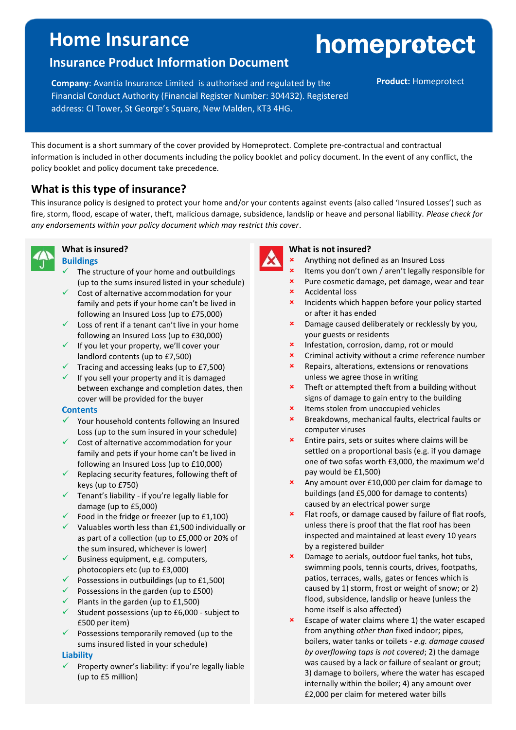## **Home Insurance**

# homeprotect

## **Insurance Product Information Document**

**Company:** Avantia Insurance Limited is authorised and regulated by the **Product:** Homeprotect Financial Conduct Authority (Financial Register Number: 304432). Registered address: CI Tower, St George's Square, New Malden, KT3 4HG.

This document is a short summary of the cover provided by Homeprotect. Complete pre-contractual and contractual information is included in other documents including the policy booklet and policy document. In the event of any conflict, the policy booklet and policy document take precedence.

## **What is this type of insurance?**

This insurance policy is designed to protect your home and/or your contents against events (also called 'Insured Losses') such as fire, storm, flood, escape of water, theft, malicious damage, subsidence, landslip or heave and personal liability. *Please check for any endorsements within your policy document which may restrict this cover*.



#### **What is insured? Buildings**

- The structure of your home and outbuildings (up to the sums insured listed in your schedule)
- ✓ Cost of alternative accommodation for your family and pets if your home can't be lived in following an Insured Loss (up to £75,000)
- $\checkmark$  Loss of rent if a tenant can't live in your home following an Insured Loss (up to £30,000)
- $\checkmark$  If you let your property, we'll cover your landlord contents (up to £7,500)
- $\checkmark$  Tracing and accessing leaks (up to £7,500)
- $\checkmark$  If you sell your property and it is damaged between exchange and completion dates, then cover will be provided for the buyer

#### **Contents**

- ✓ Your household contents following an Insured Loss (up to the sum insured in your schedule)
- $\checkmark$  Cost of alternative accommodation for your family and pets if your home can't be lived in following an Insured Loss (up to £10,000)
- $\checkmark$  Replacing security features, following theft of keys (up to £750)
- $\checkmark$  Tenant's liability if you're legally liable for damage (up to £5,000)
- $\checkmark$  Food in the fridge or freezer (up to £1,100)
- $\checkmark$  Valuables worth less than £1,500 individually or as part of a collection (up to £5,000 or 20% of the sum insured, whichever is lower)
- $\checkmark$  Business equipment, e.g. computers, photocopiers etc (up to £3,000)
- $\checkmark$  Possessions in outbuildings (up to £1,500)
- $\checkmark$  Possessions in the garden (up to £500)
- $\checkmark$  Plants in the garden (up to £1,500)
- $\checkmark$  Student possessions (up to £6,000 subject to £500 per item)
- $\checkmark$  Possessions temporarily removed (up to the sums insured listed in your schedule)

#### **Liability**

Property owner's liability: if you're legally liable (up to £5 million)

### **What is not insured?**

- Anything not defined as an Insured Loss
- Items you don't own / aren't legally responsible for
- **\*** Pure cosmetic damage, pet damage, wear and tear
- Accidental loss
- Incidents which happen before your policy started or after it has ended
- Damage caused deliberately or recklessly by you, your guests or residents
- **x** Infestation, corrosion, damp, rot or mould
- Criminal activity without a crime reference number
- **\*** Repairs, alterations, extensions or renovations unless we agree those in writing
- $\cdot$  Theft or attempted theft from a building without signs of damage to gain entry to the building
- **\*** Items stolen from unoccupied vehicles
- Breakdowns, mechanical faults, electrical faults or computer viruses
- **\*** Entire pairs, sets or suites where claims will be settled on a proportional basis (e.g. if you damage one of two sofas worth £3,000, the maximum we'd pay would be £1,500)
- **\*** Any amount over £10,000 per claim for damage to buildings (and £5,000 for damage to contents) caused by an electrical power surge
- **\*** Flat roofs, or damage caused by failure of flat roofs, unless there is proof that the flat roof has been inspected and maintained at least every 10 years by a registered builder
- **x** Damage to aerials, outdoor fuel tanks, hot tubs, swimming pools, tennis courts, drives, footpaths, patios, terraces, walls, gates or fences which is caused by 1) storm, frost or weight of snow; or 2) flood, subsidence, landslip or heave (unless the home itself is also affected)
- Escape of water claims where 1) the water escaped from anything *other than* fixed indoor; pipes, boilers, water tanks or toilets - *e.g. damage caused by overflowing taps is not covered*; 2) the damage was caused by a lack or failure of sealant or grout; 3) damage to boilers, where the water has escaped internally within the boiler; 4) any amount over £2,000 per claim for metered water bills